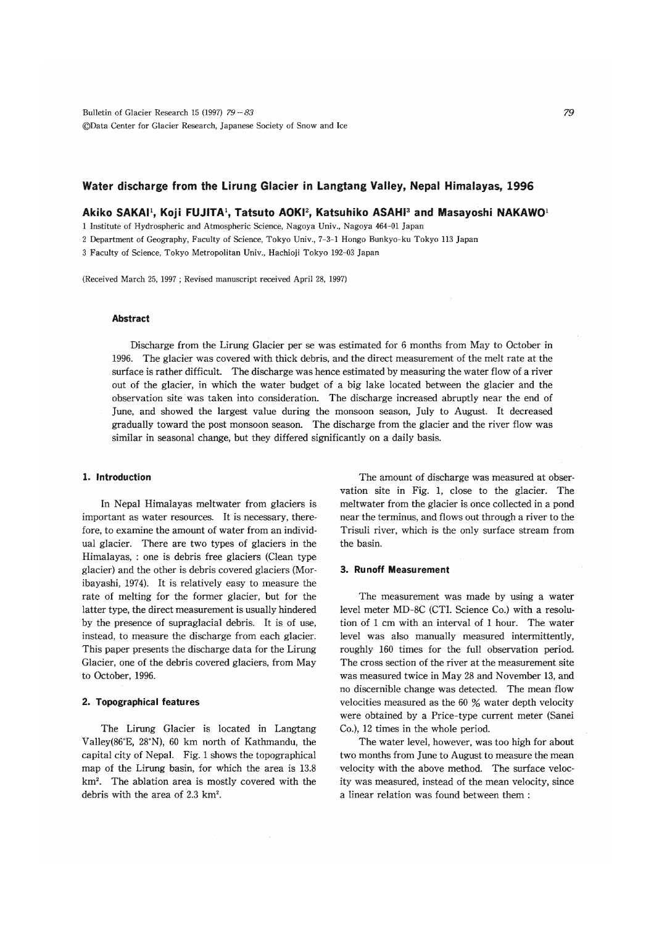# Water discharge from the Lirung Glacier in Langtang Valley, Nepal Himalayas, 1996

Akiko SAKAI<sup>1</sup>, Koji FUJITA<sup>1</sup>, Tatsuto AOKI<sup>2</sup>, Katsuhiko ASAHI<sup>3</sup> and Masayoshi NAKAWO<sup>1</sup>

1 Institute of Hydrospheric and Atmospheric Science, Nagova Univ., Nagova 464-01 Japan

2 Department of Geography, Faculty of Science, Tokyo Univ., 7-3-1 Hongo Bunkyo-ku Tokyo 113 Japan

3 Faculty of Science, Tokyo Metropolitan Univ., Hachioji Tokyo 192-03 Japan

(Received March 25, 1997; Revised manuscript received April 28, 1997)

## **Abstract**

Discharge from the Lirung Glacier per se was estimated for 6 months from May to October in 1996. The glacier was covered with thick debris, and the direct measurement of the melt rate at the surface is rather difficult. The discharge was hence estimated by measuring the water flow of a river out of the glacier, in which the water budget of a big lake located between the glacier and the observation site was taken into consideration. The discharge increased abruptly near the end of June, and showed the largest value during the monsoon season, July to August. It decreased gradually toward the post monsoon season. The discharge from the glacier and the river flow was similar in seasonal change, but they differed significantly on a daily basis.

## 1. Introduction

In Nepal Himalayas meltwater from glaciers is important as water resources. It is necessary, therefore, to examine the amount of water from an individual glacier. There are two types of glaciers in the Himalayas, : one is debris free glaciers (Clean type glacier) and the other is debris covered glaciers (Moribayashi, 1974). It is relatively easy to measure the rate of melting for the former glacier, but for the latter type, the direct measurement is usually hindered by the presence of supraglacial debris. It is of use, instead, to measure the discharge from each glacier. This paper presents the discharge data for the Lirung Glacier, one of the debris covered glaciers, from May to October, 1996.

## 2. Topographical features

The Lirung Glacier is located in Langtang Valley(86°E, 28°N), 60 km north of Kathmandu, the capital city of Nepal. Fig. 1 shows the topographical map of the Lirung basin, for which the area is 13.8 km<sup>2</sup>. The ablation area is mostly covered with the debris with the area of 2.3 km<sup>2</sup>.

The amount of discharge was measured at observation site in Fig. 1, close to the glacier. The meltwater from the glacier is once collected in a pond near the terminus, and flows out through a river to the Trisuli river, which is the only surface stream from the basin.

### 3. Runoff Measurement

The measurement was made by using a water level meter MD-8C (CTI. Science Co.) with a resolution of 1 cm with an interval of 1 hour. The water level was also manually measured intermittently, roughly 160 times for the full observation period. The cross section of the river at the measurement site was measured twice in May 28 and November 13, and no discernible change was detected. The mean flow velocities measured as the 60 % water depth velocity were obtained by a Price-type current meter (Sanei Co.), 12 times in the whole period.

The water level, however, was too high for about two months from June to August to measure the mean velocity with the above method. The surface velocity was measured, instead of the mean velocity, since a linear relation was found between them :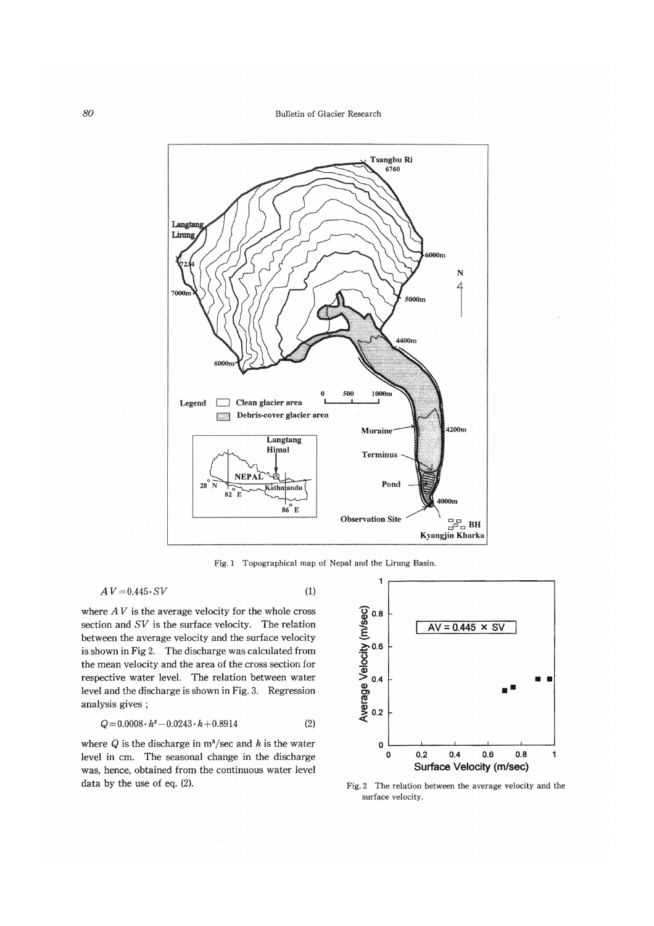

Fig. 1 Topographical map of Nepal and the Lirung Basin.

 $(1)$ 

$$
AV = 0.445 \cdot SV
$$

where  $AV$  is the average velocity for the whole cross section and  $SV$  is the surface velocity. The relation between the average velocity and the surface velocity is shown in Fig 2. The discharge was calculated from the mean velocity and the area of the cross section for respective water level. The relation between water level and the discharge is shown in Fig. 3. Regression analysis gives;

$$
Q = 0.0008 \cdot h^2 - 0.0243 \cdot h + 0.8914 \tag{2}
$$

where  $Q$  is the discharge in  $m^3$ /sec and h is the water level in cm. The seasonal change in the discharge was, hence, obtained from the continuous water level data by the use of eq.  $(2)$ .



Fig. 2 The relation between the average velocity and the surface velocity.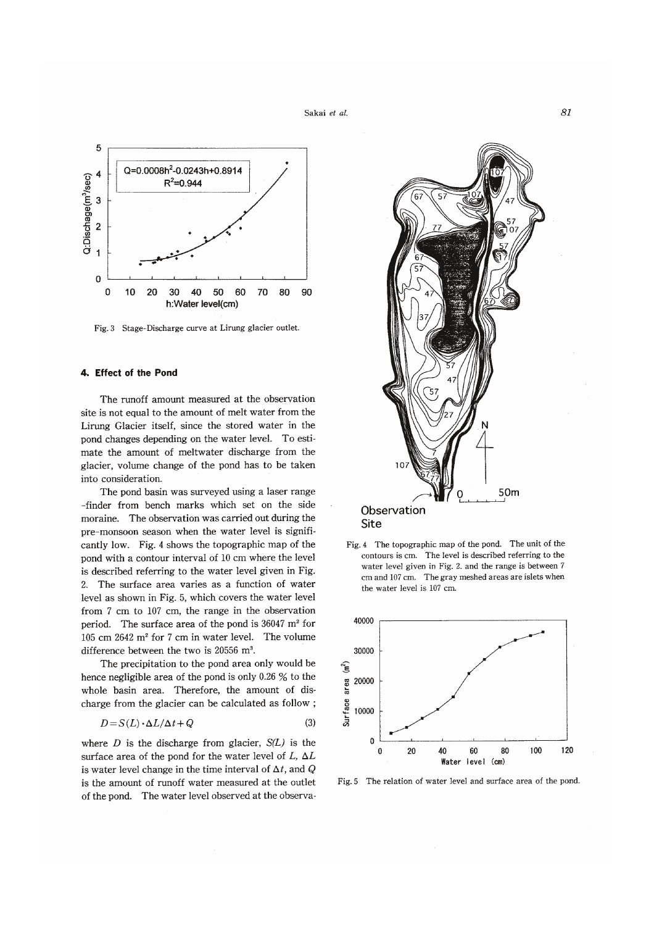Sakai et al.



Fig. 3 Stage-Discharge curve at Lirung glacier outlet.

## 4. Effect of the Pond

The runoff amount measured at the observation site is not equal to the amount of melt water from the Lirung Glacier itself, since the stored water in the pond changes depending on the water level. To estimate the amount of meltwater discharge from the glacier, volume change of the pond has to be taken into consideration.

The pond basin was surveyed using a laser range -finder from bench marks which set on the side moraine. The observation was carried out during the pre-monsoon season when the water level is significantly low. Fig. 4 shows the topographic map of the pond with a contour interval of 10 cm where the level is described referring to the water level given in Fig. 2. The surface area varies as a function of water level as shown in Fig. 5, which covers the water level from 7 cm to 107 cm, the range in the observation period. The surface area of the pond is 36047 m<sup>2</sup> for 105 cm  $2642$  m<sup>2</sup> for 7 cm in water level. The volume difference between the two is 20556 m<sup>3</sup>.

The precipitation to the pond area only would be hence negligible area of the pond is only 0.26  $\%$  to the whole basin area. Therefore, the amount of discharge from the glacier can be calculated as follow;

$$
D = S(L) \cdot \Delta L / \Delta t + Q \tag{3}
$$

where  $D$  is the discharge from glacier,  $S(L)$  is the surface area of the pond for the water level of L,  $\Delta L$ is water level change in the time interval of  $\Delta t$ , and Q is the amount of runoff water measured at the outlet of the pond. The water level observed at the observa-



Fig. 4 The topographic map of the pond. The unit of the contours is cm. The level is described referring to the water level given in Fig. 2. and the range is between 7 cm and 107 cm. The gray meshed areas are islets when the water level is 107 cm.



Fig. 5 The relation of water level and surface area of the pond.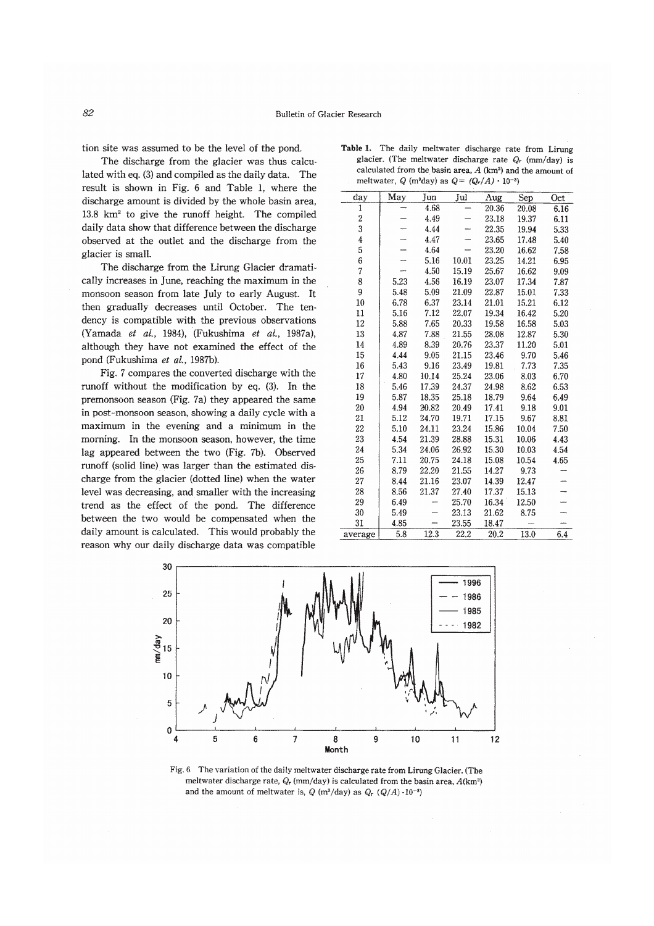tion site was assumed to be the level of the pond.

The discharge from the glacier was thus calculated with eq. (3) and compiled as the daily data. The result is shown in Fig. 6 and Table 1, where the discharge amount is divided by the whole basin area.  $13.8 \text{ km}^2$  to give the runoff height. The compiled daily data show that difference between the discharge observed at the outlet and the discharge from the glacier is small.

The discharge from the Lirung Glacier dramatically increases in June, reaching the maximum in the monsoon season from late July to early August. It then gradually decreases until October. The tendency is compatible with the previous observations (Yamada et al., 1984), (Fukushima et al., 1987a), although they have not examined the effect of the pond (Fukushima et al., 1987b).

Fig. 7 compares the converted discharge with the runoff without the modification by eq. (3). In the premonsoon season (Fig. 7a) they appeared the same in post-monsoon season, showing a daily cycle with a maximum in the evening and a minimum in the morning. In the monsoon season, however, the time lag appeared between the two (Fig. 7b). Observed runoff (solid line) was larger than the estimated discharge from the glacier (dotted line) when the water level was decreasing, and smaller with the increasing trend as the effect of the pond. The difference between the two would be compensated when the daily amount is calculated. This would probably the reason why our daily discharge data was compatible

| day                     | May  | Jun   | Jul   | Aug   | Sep   | Oct  |
|-------------------------|------|-------|-------|-------|-------|------|
| 1                       |      | 4.68  |       | 20.36 | 20.08 | 6.16 |
| $\overline{\mathbf{c}}$ |      | 4.49  |       | 23.18 | 19.37 | 6.11 |
| 3                       |      | 4.44  |       | 22.35 | 19.94 | 5.33 |
| 4                       |      | 4.47  |       | 23.65 | 17.48 | 5.40 |
| 5                       |      | 4.64  |       | 23.20 | 16.62 | 7.58 |
| 6                       |      | 5.16  | 10.01 | 23.25 | 14.21 | 6.95 |
| 7                       |      | 4.50  | 15.19 | 25.67 | 16.62 | 9.09 |
| 8                       | 5.23 | 4.56  | 16.19 | 23.07 | 17.34 | 7.87 |
| 9                       | 5.48 | 5.09  | 21.09 | 22.87 | 15.01 | 7.33 |
| 10                      | 6.78 | 6.37  | 23.14 | 21.01 | 15.21 | 6.12 |
| 11                      | 5.16 | 7.12  | 22.07 | 19.34 | 16.42 | 5.20 |
| 12                      | 5.88 | 7.65  | 20.33 | 19.58 | 16.58 | 5.03 |
| 13                      | 4.87 | 7.88  | 21.55 | 28.08 | 12.87 | 5.30 |
| 14                      | 4.89 | 8.39  | 20.76 | 23.37 | 11.20 | 5.01 |
| 15                      | 4.44 | 9.05  | 21.15 | 23.46 | 9.70  | 5.46 |
| 16                      | 5.43 | 9.16  | 23.49 | 19.81 | 7.73  | 7.35 |
| 17                      | 4.80 | 10.14 | 25.24 | 23.06 | 8.03  | 6.70 |
| 18                      | 5.46 | 17.39 | 24.37 | 24.98 | 8.62  | 6.53 |
| 19                      | 5.87 | 18.35 | 25.18 | 18.79 | 9.64  | 6.49 |
| 20                      | 4.94 | 20.82 | 20.49 | 17.41 | 9.18  | 9.01 |
| 21                      | 5.12 | 24.70 | 19.71 | 17.15 | 9.67  | 8.81 |
| 22                      | 5.10 | 24.11 | 23.24 | 15.86 | 10.04 | 7.50 |
| 23                      | 4.54 | 21.39 | 28.88 | 15.31 | 10.06 | 4.43 |
| 24                      | 5.34 | 24.06 | 26.92 | 15.30 | 10.03 | 4.54 |
| 25                      | 7.11 | 20.75 | 24.18 | 15.08 | 10.54 | 4.65 |
| 26                      | 8.79 | 22.20 | 21.55 | 14.27 | 9.73  |      |
| 27                      | 8.44 | 21.16 | 23.07 | 14.39 | 12.47 |      |
| 28                      | 8.56 | 21.37 | 27.40 | 17.37 | 15.13 |      |
| 29                      | 6.49 |       | 25.70 | 16.34 | 12.50 |      |
| 30                      | 5.49 |       | 23.13 | 21.62 | 8.75  |      |
| 31                      | 4.85 |       | 23.55 | 18.47 |       |      |
| average                 | 5.8  | 12.3  | 22.2  | 20.2  | 13.0  | 6.4  |

Table 1. The daily meltwater discharge rate from Lirung glacier. (The meltwater discharge rate  $Q_r$  (mm/day) is calculated from the basin area,  $A$  (km<sup>2</sup>) and the amount of meltwater, Q (m<sup>3</sup>day) as  $Q = (Q_r/A) \cdot 10^{-3}$ )



Fig. 6 The variation of the daily meltwater discharge rate from Lirung Glacier. (The meltwater discharge rate,  $Q_r$  (mm/day) is calculated from the basin area,  $A(km^2)$ and the amount of meltwater is,  $Q(m^3/day)$  as  $Q_r (Q/A) \cdot 10^{-3}$ )

#### 82